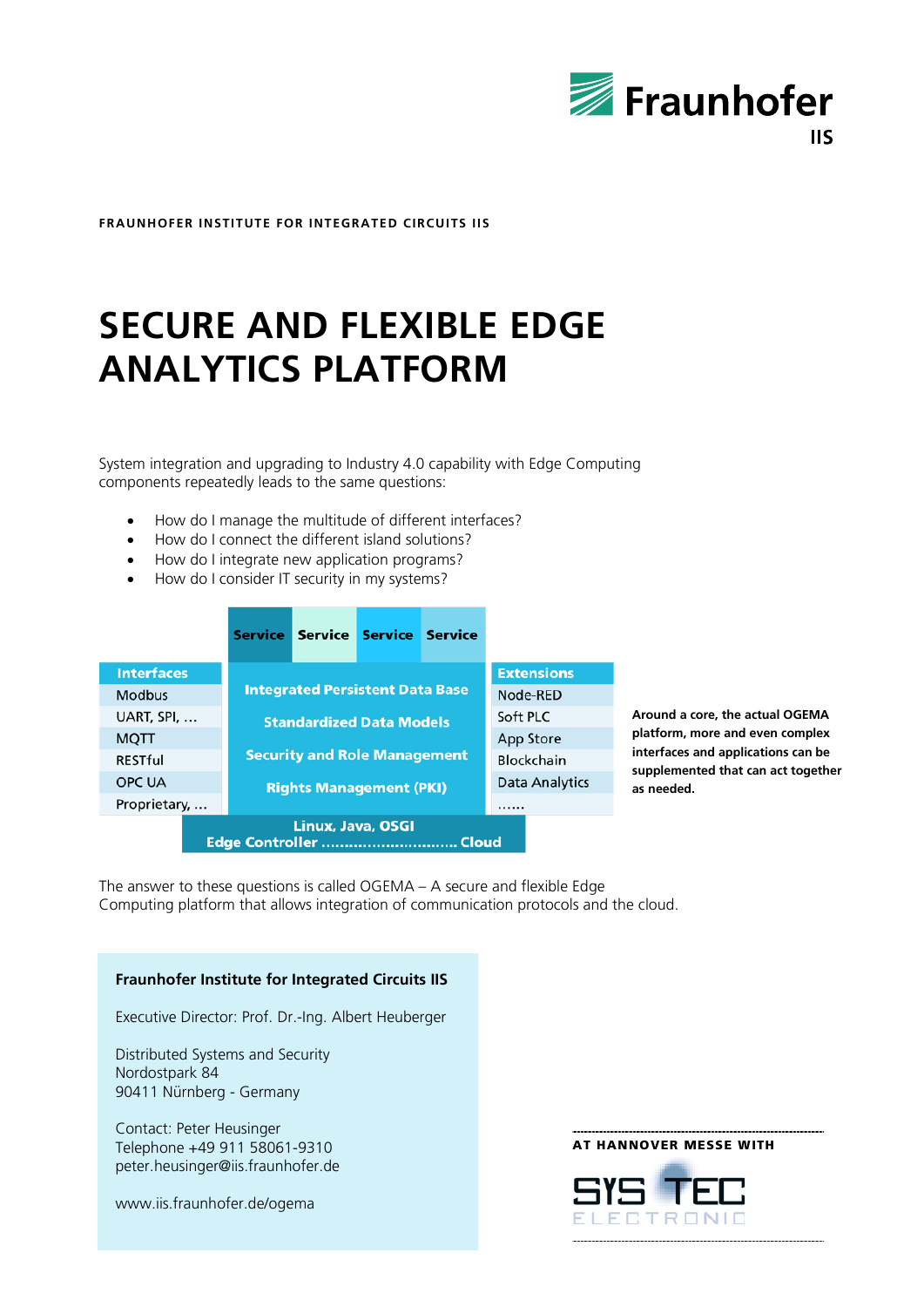

**FRAUNHOFER INSTITUTE FOR INTEGRATED CIRCUITS IIS**

# **SECURE AND FLEXIBLE EDGE ANALYTICS PLATFORM**

System integration and upgrading to Industry 4.0 capability with Edge Computing components repeatedly leads to the same questions:

- How do I manage the multitude of different interfaces?
- How do I connect the different island solutions?
- How do I integrate new application programs?
- How do I consider IT security in my systems?

|                                                      | <b>Service</b>                         |  | Service Service Service |  |                       |                   |
|------------------------------------------------------|----------------------------------------|--|-------------------------|--|-----------------------|-------------------|
| <b>Interfaces</b>                                    | <b>Integrated Persistent Data Base</b> |  |                         |  |                       | <b>Extensions</b> |
| <b>Modbus</b>                                        |                                        |  |                         |  | Node-RED              |                   |
| UART, SPI,                                           | <b>Standardized Data Models</b>        |  |                         |  | Soft PLC              |                   |
| <b>MQTT</b>                                          |                                        |  |                         |  | App Store             |                   |
| <b>RESTful</b>                                       | <b>Security and Role Management</b>    |  |                         |  | Blockchain            |                   |
| OPC UA                                               | <b>Rights Management (PKI)</b>         |  |                         |  | <b>Data Analytics</b> |                   |
| Proprietary,                                         |                                        |  |                         |  |                       |                   |
| <b>Linux, Java, OSGI</b><br>Edge Controller<br>Cloud |                                        |  |                         |  |                       |                   |

**Around a core, the actual OGEMA platform, more and even complex interfaces and applications can be supplemented that can act together as needed.** 

The answer to these questions is called OGEMA – A secure and flexible Edge Computing platform that allows integration of communication protocols and the cloud.

#### **Fraunhofer Institute for Integrated Circuits IIS**

Executive Director: Prof. Dr.-Ing. Albert Heuberger

Distributed Systems and Security Nordostpark 84 90411 Nürnberg - Germany

Contact: Peter Heusinger Telephone +49 911 58061-9310 peter.heusinger@iis.fraunhofer.de

www.iis.fraunhofer.de/ogema